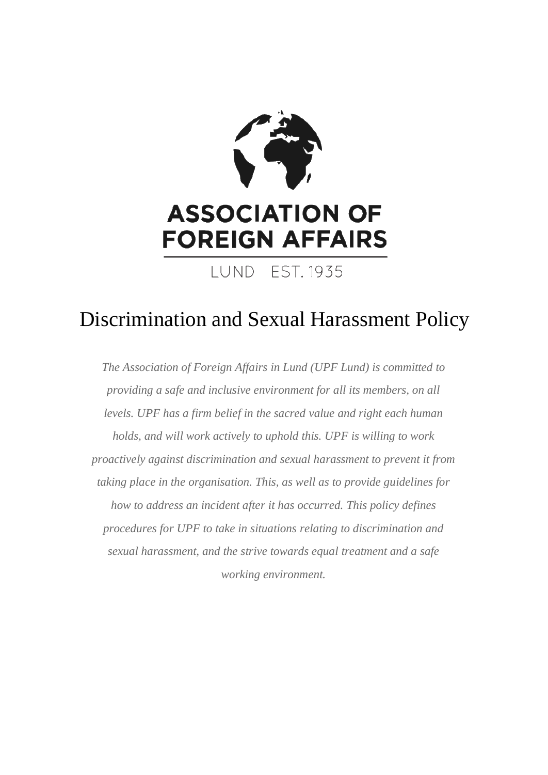

# Discrimination and Sexual Harassment Policy

*The Association of Foreign Affairs in Lund (UPF Lund) is committed to providing a safe and inclusive environment for all its members, on all levels. UPF has a firm belief in the sacred value and right each human holds, and will work actively to uphold this. UPF is willing to work proactively against discrimination and sexual harassment to prevent it from taking place in the organisation. This, as well as to provide guidelines for how to address an incident after it has occurred. This policy defines procedures for UPF to take in situations relating to discrimination and sexual harassment, and the strive towards equal treatment and a safe working environment.*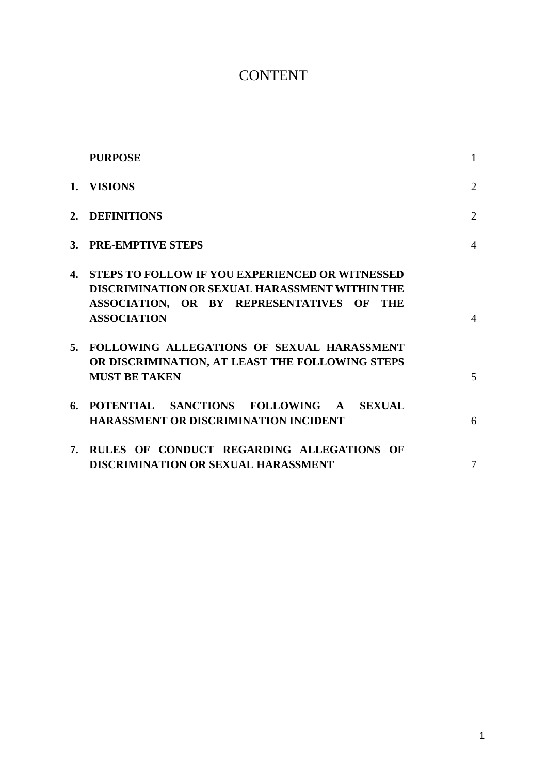# **CONTENT**

|    | <b>PURPOSE</b>                                                                                                                                                                           | $\mathbf{1}$   |
|----|------------------------------------------------------------------------------------------------------------------------------------------------------------------------------------------|----------------|
| 1. | <b>VISIONS</b>                                                                                                                                                                           | $\overline{2}$ |
|    | 2. DEFINITIONS                                                                                                                                                                           | 2              |
|    | 3. PRE-EMPTIVE STEPS                                                                                                                                                                     | $\overline{4}$ |
|    | 4. STEPS TO FOLLOW IF YOU EXPERIENCED OR WITNESSED<br><b>DISCRIMINATION OR SEXUAL HARASSMENT WITHIN THE</b><br>ASSOCIATION, OR BY REPRESENTATIVES OF<br><b>THE</b><br><b>ASSOCIATION</b> | $\overline{4}$ |
|    | 5. FOLLOWING ALLEGATIONS OF SEXUAL HARASSMENT<br>OR DISCRIMINATION, AT LEAST THE FOLLOWING STEPS<br><b>MUST BE TAKEN</b>                                                                 | 5              |
|    | 6. POTENTIAL SANCTIONS FOLLOWING A SEXUAL<br><b>HARASSMENT OR DISCRIMINATION INCIDENT</b>                                                                                                | 6              |
| 7. | RULES OF CONDUCT REGARDING ALLEGATIONS OF<br><b>DISCRIMINATION OR SEXUAL HARASSMENT</b>                                                                                                  | 7              |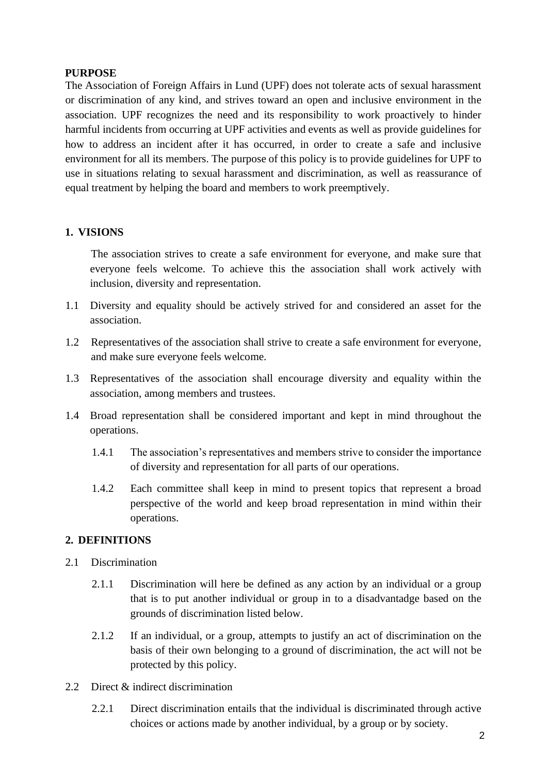#### **PURPOSE**

The Association of Foreign Affairs in Lund (UPF) does not tolerate acts of sexual harassment or discrimination of any kind, and strives toward an open and inclusive environment in the association. UPF recognizes the need and its responsibility to work proactively to hinder harmful incidents from occurring at UPF activities and events as well as provide guidelines for how to address an incident after it has occurred, in order to create a safe and inclusive environment for all its members. The purpose of this policy is to provide guidelines for UPF to use in situations relating to sexual harassment and discrimination, as well as reassurance of equal treatment by helping the board and members to work preemptively.

#### **1. VISIONS**

The association strives to create a safe environment for everyone, and make sure that everyone feels welcome. To achieve this the association shall work actively with inclusion, diversity and representation.

- 1.1 Diversity and equality should be actively strived for and considered an asset for the association.
- 1.2 Representatives of the association shall strive to create a safe environment for everyone, and make sure everyone feels welcome.
- 1.3 Representatives of the association shall encourage diversity and equality within the association, among members and trustees.
- 1.4 Broad representation shall be considered important and kept in mind throughout the operations.
	- 1.4.1 The association's representatives and members strive to consider the importance of diversity and representation for all parts of our operations.
	- 1.4.2 Each committee shall keep in mind to present topics that represent a broad perspective of the world and keep broad representation in mind within their operations.

#### **2. DEFINITIONS**

- 2.1 Discrimination
	- 2.1.1 Discrimination will here be defined as any action by an individual or a group that is to put another individual or group in to a disadvantadge based on the grounds of discrimination listed below.
	- 2.1.2 If an individual, or a group, attempts to justify an act of discrimination on the basis of their own belonging to a ground of discrimination, the act will not be protected by this policy.
- 2.2 Direct & indirect discrimination
	- 2.2.1 Direct discrimination entails that the individual is discriminated through active choices or actions made by another individual, by a group or by society.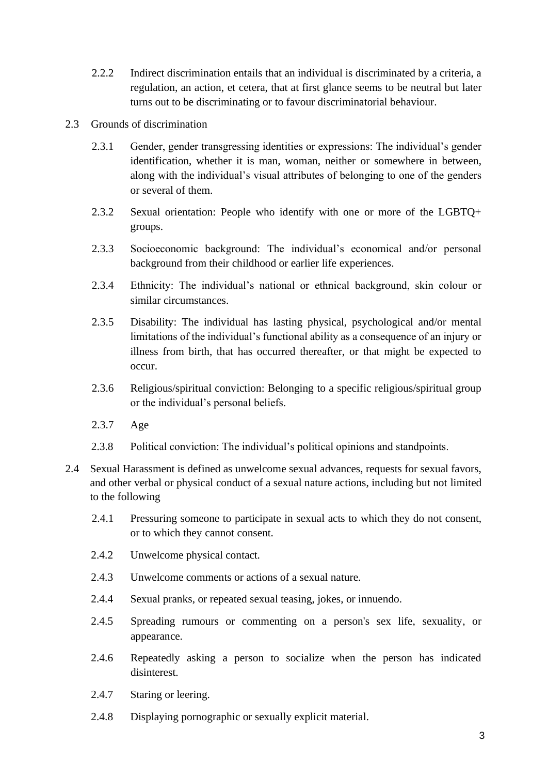- 2.2.2 Indirect discrimination entails that an individual is discriminated by a criteria, a regulation, an action, et cetera, that at first glance seems to be neutral but later turns out to be discriminating or to favour discriminatorial behaviour.
- 2.3 Grounds of discrimination
	- 2.3.1 Gender, gender transgressing identities or expressions: The individual's gender identification, whether it is man, woman, neither or somewhere in between, along with the individual's visual attributes of belonging to one of the genders or several of them.
	- 2.3.2 Sexual orientation: People who identify with one or more of the LGBTQ+ groups.
	- 2.3.3 Socioeconomic background: The individual's economical and/or personal background from their childhood or earlier life experiences.
	- 2.3.4 Ethnicity: The individual's national or ethnical background, skin colour or similar circumstances.
	- 2.3.5 Disability: The individual has lasting physical, psychological and/or mental limitations of the individual's functional ability as a consequence of an injury or illness from birth, that has occurred thereafter, or that might be expected to occur.
	- 2.3.6 Religious/spiritual conviction: Belonging to a specific religious/spiritual group or the individual's personal beliefs.
	- 2.3.7 Age
	- 2.3.8 Political conviction: The individual's political opinions and standpoints.
- 2.4 Sexual Harassment is defined as unwelcome sexual advances, requests for sexual favors, and other verbal or physical conduct of a sexual nature actions, including but not limited to the following
	- 2.4.1 Pressuring someone to participate in sexual acts to which they do not consent, or to which they cannot consent.
	- 2.4.2 Unwelcome physical contact.
	- 2.4.3 Unwelcome comments or actions of a sexual nature.
	- 2.4.4 Sexual pranks, or repeated sexual teasing, jokes, or innuendo.
	- 2.4.5 Spreading rumours or commenting on a person's sex life, sexuality, or appearance.
	- 2.4.6 Repeatedly asking a person to socialize when the person has indicated disinterest.
	- 2.4.7 Staring or leering.
	- 2.4.8 Displaying pornographic or sexually explicit material.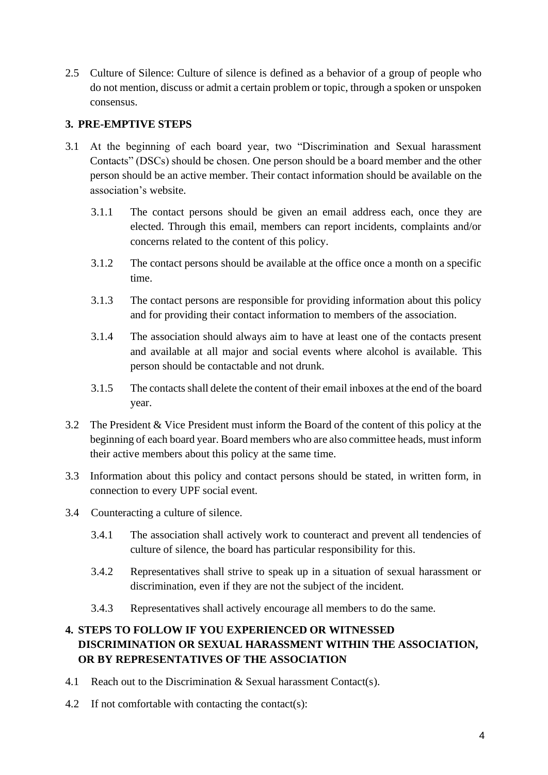2.5 Culture of Silence: Culture of silence is defined as a behavior of a group of people who do not mention, discuss or admit a certain problem or topic, through a spoken or unspoken consensus.

#### **3. PRE-EMPTIVE STEPS**

- 3.1 At the beginning of each board year, two "Discrimination and Sexual harassment Contacts" (DSCs) should be chosen. One person should be a board member and the other person should be an active member. Their contact information should be available on the association's website.
	- 3.1.1 The contact persons should be given an email address each, once they are elected. Through this email, members can report incidents, complaints and/or concerns related to the content of this policy.
	- 3.1.2 The contact persons should be available at the office once a month on a specific time.
	- 3.1.3 The contact persons are responsible for providing information about this policy and for providing their contact information to members of the association.
	- 3.1.4 The association should always aim to have at least one of the contacts present and available at all major and social events where alcohol is available. This person should be contactable and not drunk.
	- 3.1.5 The contacts shall delete the content of their email inboxes at the end of the board year.
- 3.2 The President & Vice President must inform the Board of the content of this policy at the beginning of each board year. Board members who are also committee heads, must inform their active members about this policy at the same time.
- 3.3 Information about this policy and contact persons should be stated, in written form, in connection to every UPF social event.
- 3.4 Counteracting a culture of silence.
	- 3.4.1 The association shall actively work to counteract and prevent all tendencies of culture of silence, the board has particular responsibility for this.
	- 3.4.2 Representatives shall strive to speak up in a situation of sexual harassment or discrimination, even if they are not the subject of the incident.
	- 3.4.3 Representatives shall actively encourage all members to do the same.

## **4. STEPS TO FOLLOW IF YOU EXPERIENCED OR WITNESSED DISCRIMINATION OR SEXUAL HARASSMENT WITHIN THE ASSOCIATION, OR BY REPRESENTATIVES OF THE ASSOCIATION**

- 4.1 Reach out to the Discrimination  $&$  Sexual harassment Contact(s).
- 4.2 If not comfortable with contacting the contact(s):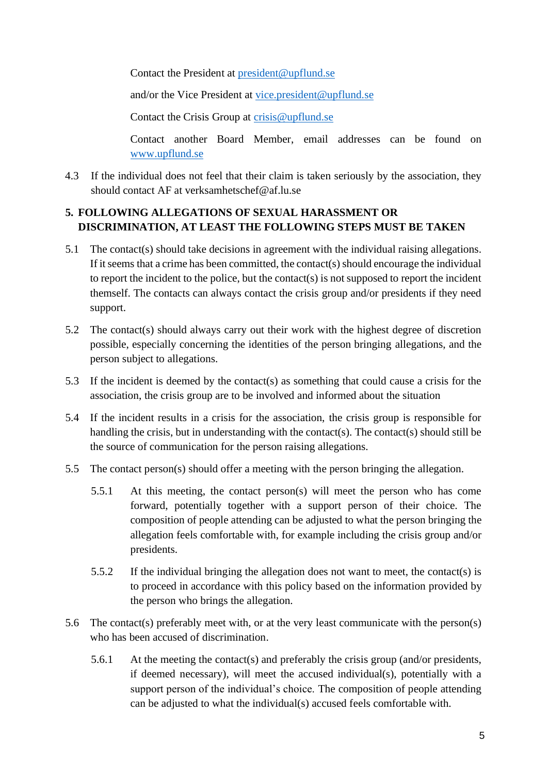Contact the President at [president@upflund.se](mailto:president@upflund.se)

and/or the Vice President at [vice.president@upflund.se](mailto:vice.president@upflund.se)

Contact the Crisis Group at [crisis@upflund.se](mailto:crisis@upflund.se)

Contact another Board Member, email addresses can be found on [www.upflund.se](http://www.upflund.se/) 

4.3 If the individual does not feel that their claim is taken seriously by the association, they should contact AF at verksamhetschef@af.lu.se

#### **5. FOLLOWING ALLEGATIONS OF SEXUAL HARASSMENT OR DISCRIMINATION, AT LEAST THE FOLLOWING STEPS MUST BE TAKEN**

- 5.1 The contact(s) should take decisions in agreement with the individual raising allegations. If it seems that a crime has been committed, the contact(s) should encourage the individual to report the incident to the police, but the contact(s) is not supposed to report the incident themself. The contacts can always contact the crisis group and/or presidents if they need support.
- 5.2 The contact(s) should always carry out their work with the highest degree of discretion possible, especially concerning the identities of the person bringing allegations, and the person subject to allegations.
- 5.3 If the incident is deemed by the contact(s) as something that could cause a crisis for the association, the crisis group are to be involved and informed about the situation
- 5.4 If the incident results in a crisis for the association, the crisis group is responsible for handling the crisis, but in understanding with the contact(s). The contact(s) should still be the source of communication for the person raising allegations.
- 5.5 The contact person(s) should offer a meeting with the person bringing the allegation.
	- 5.5.1 At this meeting, the contact person(s) will meet the person who has come forward, potentially together with a support person of their choice. The composition of people attending can be adjusted to what the person bringing the allegation feels comfortable with, for example including the crisis group and/or presidents.
	- 5.5.2 If the individual bringing the allegation does not want to meet, the contact(s) is to proceed in accordance with this policy based on the information provided by the person who brings the allegation.
- 5.6 The contact(s) preferably meet with, or at the very least communicate with the person(s) who has been accused of discrimination.
	- 5.6.1 At the meeting the contact(s) and preferably the crisis group (and/or presidents, if deemed necessary), will meet the accused individual(s), potentially with a support person of the individual's choice. The composition of people attending can be adjusted to what the individual(s) accused feels comfortable with.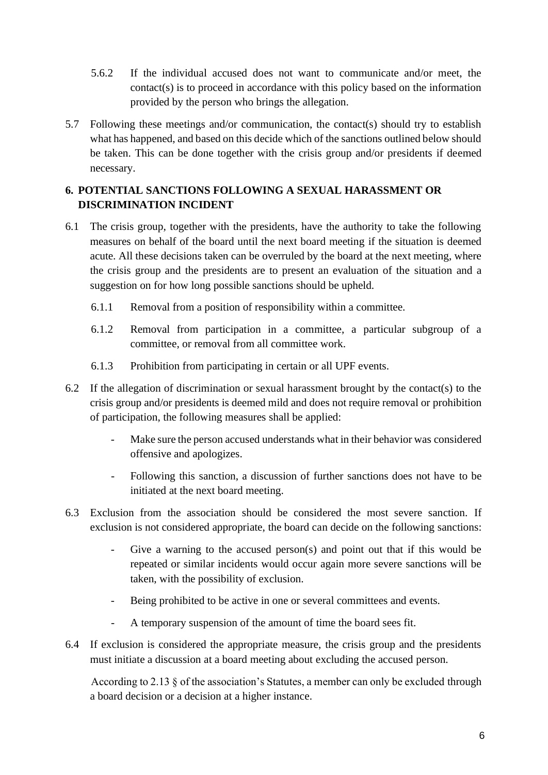- 5.6.2 If the individual accused does not want to communicate and/or meet, the contact(s) is to proceed in accordance with this policy based on the information provided by the person who brings the allegation.
- 5.7 Following these meetings and/or communication, the contact(s) should try to establish what has happened, and based on this decide which of the sanctions outlined below should be taken. This can be done together with the crisis group and/or presidents if deemed necessary.

## **6. POTENTIAL SANCTIONS FOLLOWING A SEXUAL HARASSMENT OR DISCRIMINATION INCIDENT**

- 6.1 The crisis group, together with the presidents, have the authority to take the following measures on behalf of the board until the next board meeting if the situation is deemed acute. All these decisions taken can be overruled by the board at the next meeting, where the crisis group and the presidents are to present an evaluation of the situation and a suggestion on for how long possible sanctions should be upheld.
	- 6.1.1 Removal from a position of responsibility within a committee.
	- 6.1.2 Removal from participation in a committee, a particular subgroup of a committee, or removal from all committee work.
	- 6.1.3 Prohibition from participating in certain or all UPF events.
- 6.2 If the allegation of discrimination or sexual harassment brought by the contact(s) to the crisis group and/or presidents is deemed mild and does not require removal or prohibition of participation, the following measures shall be applied:
	- Make sure the person accused understands what in their behavior was considered offensive and apologizes.
	- Following this sanction, a discussion of further sanctions does not have to be initiated at the next board meeting.
- 6.3 Exclusion from the association should be considered the most severe sanction. If exclusion is not considered appropriate, the board can decide on the following sanctions:
	- Give a warning to the accused person(s) and point out that if this would be repeated or similar incidents would occur again more severe sanctions will be taken, with the possibility of exclusion.
	- Being prohibited to be active in one or several committees and events.
	- A temporary suspension of the amount of time the board sees fit.
- 6.4 If exclusion is considered the appropriate measure, the crisis group and the presidents must initiate a discussion at a board meeting about excluding the accused person.

According to 2.13 § of the association's Statutes, a member can only be excluded through a board decision or a decision at a higher instance.